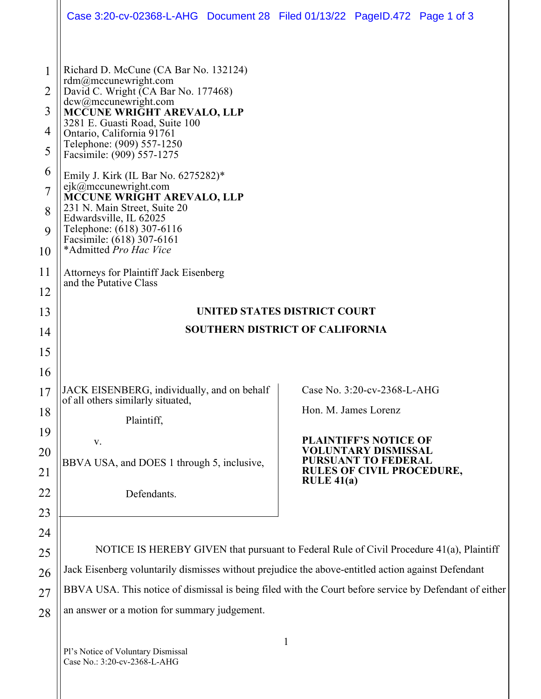|                                                              | Case 3:20-cv-02368-L-AHG  Document 28  Filed 01/13/22  PageID.472  Page 1 of 3                                                                                                                                                                                                                                                                                                                                                                                                                                                 |                                                                                                                                                                                      |
|--------------------------------------------------------------|--------------------------------------------------------------------------------------------------------------------------------------------------------------------------------------------------------------------------------------------------------------------------------------------------------------------------------------------------------------------------------------------------------------------------------------------------------------------------------------------------------------------------------|--------------------------------------------------------------------------------------------------------------------------------------------------------------------------------------|
| 1<br>$\overline{2}$<br>3<br>4<br>5<br>6<br>7<br>8<br>9<br>10 | Richard D. McCune (CA Bar No. 132124)<br>rdm@mccunewright.com<br>David C. Wright (CA Bar No. 177468)<br>dcw@mccunewright.com<br>MCCUNE WRIGHT AREVALO, LLP<br>3281 E. Guasti Road, Suite 100<br>Ontario, California 91761<br>Telephone: (909) 557-1250<br>Facsimile: (909) 557-1275<br>Emily J. Kirk (IL Bar No. 6275282)*<br>ejk@mccunewright.com<br>MCCUNE WRIGHT AREVALO, LLP<br>231 N. Main Street, Suite 20<br>Edwardsville, IL 62025<br>Telephone: (618) 307-6116<br>Facsimile: (618) 307-6161<br>*Admitted Pro Hac Vice |                                                                                                                                                                                      |
| 11<br>12                                                     | <b>Attorneys for Plaintiff Jack Eisenberg</b><br>and the Putative Class                                                                                                                                                                                                                                                                                                                                                                                                                                                        |                                                                                                                                                                                      |
| 13                                                           | <b>UNITED STATES DISTRICT COURT</b>                                                                                                                                                                                                                                                                                                                                                                                                                                                                                            |                                                                                                                                                                                      |
| 14                                                           | <b>SOUTHERN DISTRICT OF CALIFORNIA</b>                                                                                                                                                                                                                                                                                                                                                                                                                                                                                         |                                                                                                                                                                                      |
| 15                                                           |                                                                                                                                                                                                                                                                                                                                                                                                                                                                                                                                |                                                                                                                                                                                      |
| 16<br>17<br>18<br>19<br>20<br>21<br>22<br>23                 | JACK EISENBERG, individually, and on behalf<br>of all others similarly situated,<br>Plaintiff,<br>V.<br>BBVA USA, and DOES 1 through 5, inclusive,<br>Defendants.                                                                                                                                                                                                                                                                                                                                                              | Case No. 3:20-cv-2368-L-AHG<br>Hon. M. James Lorenz<br><b>PLAINTIFF'S NOTICE OF</b><br>VOLUNTARY DISMISSAL<br>URSUANT TO FEDERAL<br><b>RULES OF CIVIL PROCEDURE,</b><br>RULE $41(a)$ |
| 24<br>25<br>26<br>27<br>28                                   | NOTICE IS HEREBY GIVEN that pursuant to Federal Rule of Civil Procedure 41(a), Plaintiff<br>Jack Eisenberg voluntarily dismisses without prejudice the above-entitled action against Defendant<br>BBVA USA. This notice of dismissal is being filed with the Court before service by Defendant of either<br>an answer or a motion for summary judgement.                                                                                                                                                                       |                                                                                                                                                                                      |
|                                                              |                                                                                                                                                                                                                                                                                                                                                                                                                                                                                                                                |                                                                                                                                                                                      |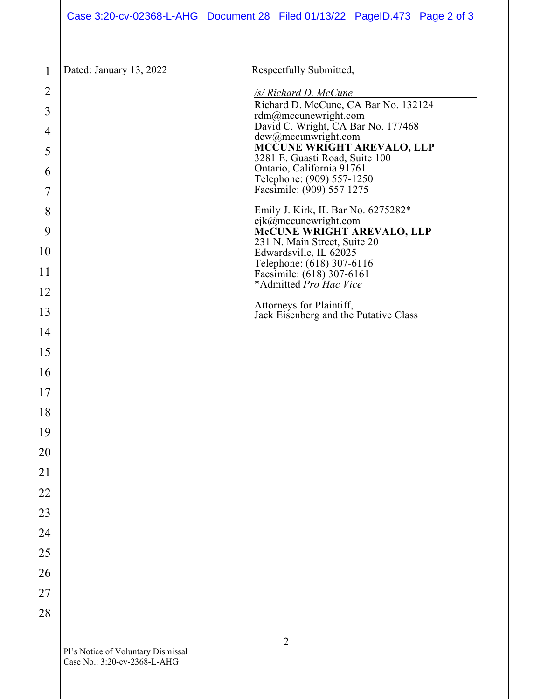| $\mathbf 1$    | Dated: January 13, 2022 | Respectfully Submitted,                                                                            |
|----------------|-------------------------|----------------------------------------------------------------------------------------------------|
| $\overline{2}$ |                         | /s/ Richard D. McCune                                                                              |
| 3              |                         | Richard D. McCune, CA Bar No. 132124<br>rdm@mccunewright.com<br>David C. Wright, CA Bar No. 177468 |
| 4<br>5         |                         | dcw@mccunwright.com<br>MCCUNE WRIGHT AREVALO, LLP<br>3281 E. Guasti Road, Suite 100                |
| 6              |                         | Ontario, California 91761<br>Telephone: (909) 557-1250                                             |
| 7              |                         | Facsimile: (909) 557 1275                                                                          |
| 8              |                         | Emily J. Kirk, IL Bar No. 6275282*<br>ejk@mccunewright.com                                         |
| 9<br>10        |                         | McCUNE WRIGHT AREVALO, LLP<br>231 N. Main Street, Suite 20<br>Edwardsville, IL 62025               |
| 11             |                         | Telephone: (618) 307-6116<br>Facsimile: (618) 307-6161                                             |
| 12             |                         | *Admitted Pro Hac Vice                                                                             |
| 13             |                         | Attorneys for Plaintiff,<br>Jack Eisenberg and the Putative Class                                  |
| 14             |                         |                                                                                                    |
| 15             |                         |                                                                                                    |
| 16             |                         |                                                                                                    |
| 17             |                         |                                                                                                    |
| 18             |                         |                                                                                                    |
| 19             |                         |                                                                                                    |
| 20             |                         |                                                                                                    |
| 21             |                         |                                                                                                    |
| 22             |                         |                                                                                                    |
| 23             |                         |                                                                                                    |
| 24             |                         |                                                                                                    |
| 25             |                         |                                                                                                    |
| 26             |                         |                                                                                                    |
| 27             |                         |                                                                                                    |
| 28             |                         |                                                                                                    |
|                |                         |                                                                                                    |